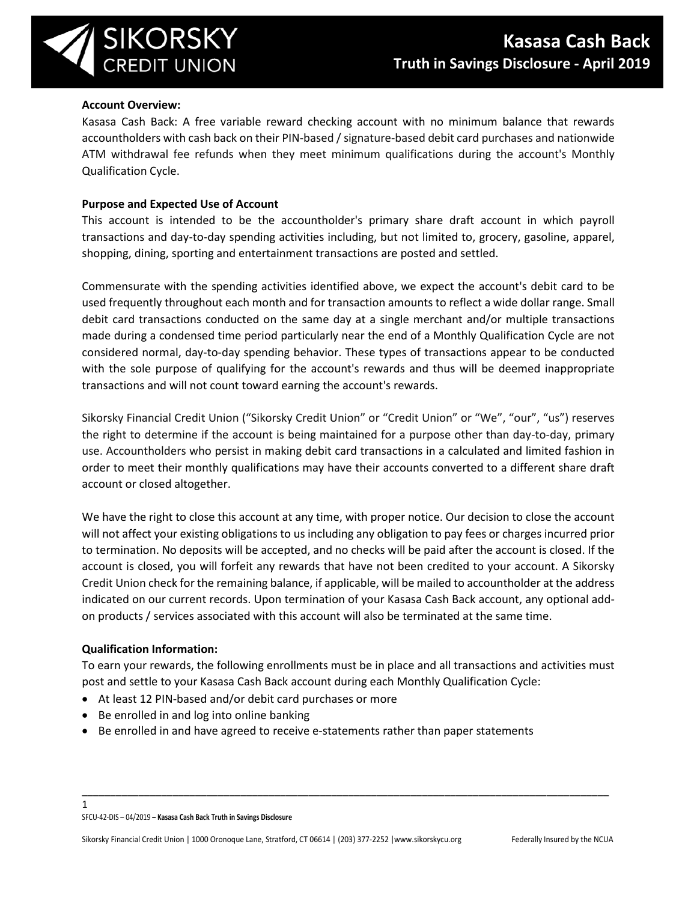

# **Account Overview:**

Kasasa Cash Back: A free variable reward checking account with no minimum balance that rewards accountholders with cash back on their PIN-based / signature-based debit card purchases and nationwide ATM withdrawal fee refunds when they meet minimum qualifications during the account's Monthly Qualification Cycle.

# **Purpose and Expected Use of Account**

This account is intended to be the accountholder's primary share draft account in which payroll transactions and day-to-day spending activities including, but not limited to, grocery, gasoline, apparel, shopping, dining, sporting and entertainment transactions are posted and settled.

Commensurate with the spending activities identified above, we expect the account's debit card to be used frequently throughout each month and for transaction amounts to reflect a wide dollar range. Small debit card transactions conducted on the same day at a single merchant and/or multiple transactions made during a condensed time period particularly near the end of a Monthly Qualification Cycle are not considered normal, day-to-day spending behavior. These types of transactions appear to be conducted with the sole purpose of qualifying for the account's rewards and thus will be deemed inappropriate transactions and will not count toward earning the account's rewards.

Sikorsky Financial Credit Union ("Sikorsky Credit Union" or "Credit Union" or "We", "our", "us") reserves the right to determine if the account is being maintained for a purpose other than day-to-day, primary use. Accountholders who persist in making debit card transactions in a calculated and limited fashion in order to meet their monthly qualifications may have their accounts converted to a different share draft account or closed altogether.

We have the right to close this account at any time, with proper notice. Our decision to close the account will not affect your existing obligations to us including any obligation to pay fees or charges incurred prior to termination. No deposits will be accepted, and no checks will be paid after the account is closed. If the account is closed, you will forfeit any rewards that have not been credited to your account. A Sikorsky Credit Union check for the remaining balance, if applicable, will be mailed to accountholder at the address indicated on our current records. Upon termination of your Kasasa Cash Back account, any optional addon products / services associated with this account will also be terminated at the same time.

# **Qualification Information:**

1

To earn your rewards, the following enrollments must be in place and all transactions and activities must post and settle to your Kasasa Cash Back account during each Monthly Qualification Cycle:

\_\_\_\_\_\_\_\_\_\_\_\_\_\_\_\_\_\_\_\_\_\_\_\_\_\_\_\_\_\_\_\_\_\_\_\_\_\_\_\_\_\_\_\_\_\_\_\_\_\_\_\_\_\_\_\_\_\_\_\_\_\_\_\_\_\_\_\_\_\_\_\_\_\_\_\_\_\_\_\_\_\_\_\_\_\_\_\_\_\_\_\_\_

- At least 12 PIN-based and/or debit card purchases or more
- Be enrolled in and log into online banking
- Be enrolled in and have agreed to receive e-statements rather than paper statements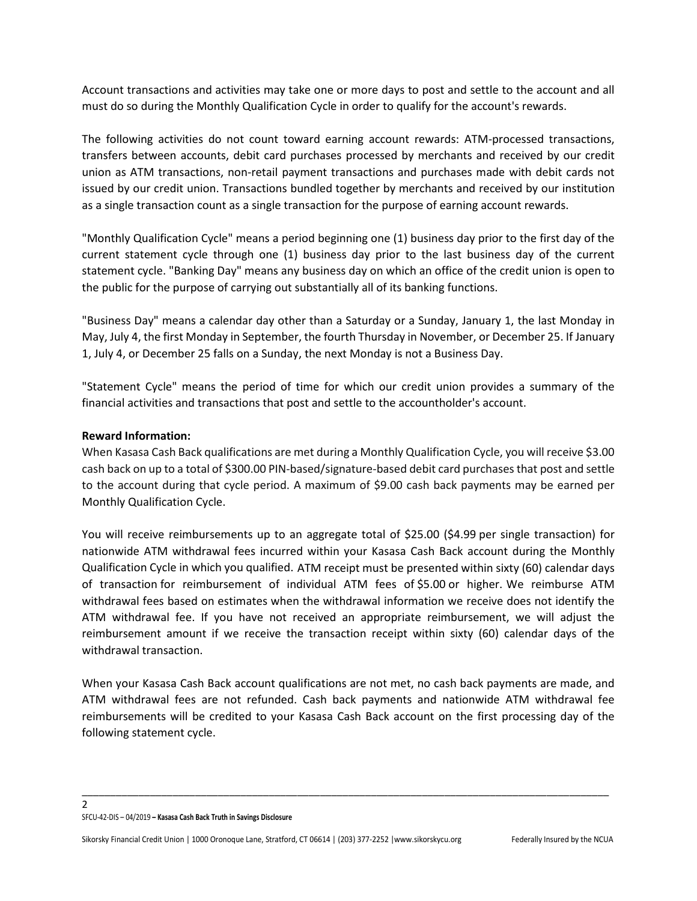Account transactions and activities may take one or more days to post and settle to the account and all must do so during the Monthly Qualification Cycle in order to qualify for the account's rewards.

The following activities do not count toward earning account rewards: ATM-processed transactions, transfers between accounts, debit card purchases processed by merchants and received by our credit union as ATM transactions, non-retail payment transactions and purchases made with debit cards not issued by our credit union. Transactions bundled together by merchants and received by our institution as a single transaction count as a single transaction for the purpose of earning account rewards.

"Monthly Qualification Cycle" means a period beginning one (1) business day prior to the first day of the current statement cycle through one (1) business day prior to the last business day of the current statement cycle. "Banking Day" means any business day on which an office of the credit union is open to the public for the purpose of carrying out substantially all of its banking functions.

"Business Day" means a calendar day other than a Saturday or a Sunday, January 1, the last Monday in May, July 4, the first Monday in September, the fourth Thursday in November, or December 25. If January 1, July 4, or December 25 falls on a Sunday, the next Monday is not a Business Day.

"Statement Cycle" means the period of time for which our credit union provides a summary of the financial activities and transactions that post and settle to the accountholder's account.

## **Reward Information:**

When Kasasa Cash Back qualifications are met during a Monthly Qualification Cycle, you will receive \$3.00 cash back on up to a total of \$300.00 PIN-based/signature-based debit card purchases that post and settle to the account during that cycle period. A maximum of \$9.00 cash back payments may be earned per Monthly Qualification Cycle.

You will receive reimbursements up to an aggregate total of \$25.00 (\$4.99 per single transaction) for nationwide ATM withdrawal fees incurred within your Kasasa Cash Back account during the Monthly Qualification Cycle in which you qualified. ATM receipt must be presented within sixty (60) calendar days of transaction for reimbursement of individual ATM fees of \$5.00 or higher. We reimburse ATM withdrawal fees based on estimates when the withdrawal information we receive does not identify the ATM withdrawal fee. If you have not received an appropriate reimbursement, we will adjust the reimbursement amount if we receive the transaction receipt within sixty (60) calendar days of the withdrawal transaction.

When your Kasasa Cash Back account qualifications are not met, no cash back payments are made, and ATM withdrawal fees are not refunded. Cash back payments and nationwide ATM withdrawal fee reimbursements will be credited to your Kasasa Cash Back account on the first processing day of the following statement cycle.

\_\_\_\_\_\_\_\_\_\_\_\_\_\_\_\_\_\_\_\_\_\_\_\_\_\_\_\_\_\_\_\_\_\_\_\_\_\_\_\_\_\_\_\_\_\_\_\_\_\_\_\_\_\_\_\_\_\_\_\_\_\_\_\_\_\_\_\_\_\_\_\_\_\_\_\_\_\_\_\_\_\_\_\_\_\_\_\_\_\_\_\_\_

#### SFCU-42-DIS – 04/2019 **– Kasasa Cash Back Truth in Savings Disclosure**

 $\overline{\phantom{a}}$